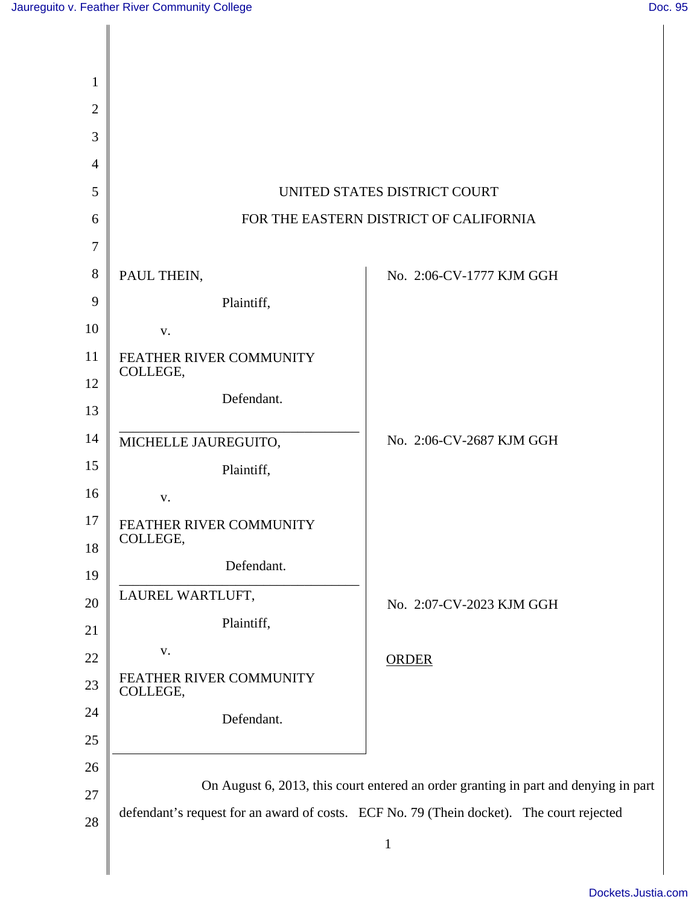Ι

 $\mathsf{l}$ 

| $\mathbf{1}$   |                                                                                                                                                                                 |                          |
|----------------|---------------------------------------------------------------------------------------------------------------------------------------------------------------------------------|--------------------------|
| $\overline{2}$ |                                                                                                                                                                                 |                          |
| 3              |                                                                                                                                                                                 |                          |
| $\overline{4}$ |                                                                                                                                                                                 |                          |
| 5              | UNITED STATES DISTRICT COURT                                                                                                                                                    |                          |
| 6              | FOR THE EASTERN DISTRICT OF CALIFORNIA                                                                                                                                          |                          |
| 7              |                                                                                                                                                                                 |                          |
| 8              | PAUL THEIN,                                                                                                                                                                     | No. 2:06-CV-1777 KJM GGH |
| 9              | Plaintiff,                                                                                                                                                                      |                          |
| 10             | V.                                                                                                                                                                              |                          |
| 11             | FEATHER RIVER COMMUNITY<br>COLLEGE,                                                                                                                                             |                          |
| 12             | Defendant.                                                                                                                                                                      |                          |
| 13             |                                                                                                                                                                                 |                          |
| 14             | MICHELLE JAUREGUITO,                                                                                                                                                            | No. 2:06-CV-2687 KJM GGH |
| 15             | Plaintiff,                                                                                                                                                                      |                          |
| 16             | V.                                                                                                                                                                              |                          |
| 17<br>18       | FEATHER RIVER COMMUNITY<br>COLLEGE,                                                                                                                                             |                          |
| 19             | Defendant.                                                                                                                                                                      |                          |
| 20             | LAUREL WARTLUFT,                                                                                                                                                                | No. 2:07-CV-2023 KJM GGH |
| 21             | Plaintiff,                                                                                                                                                                      |                          |
| 22             | ${\bf V}$ .                                                                                                                                                                     | <b>ORDER</b>             |
| 23             | FEATHER RIVER COMMUNITY<br>COLLEGE,                                                                                                                                             |                          |
| 24             | Defendant.                                                                                                                                                                      |                          |
| 25             |                                                                                                                                                                                 |                          |
| 26             |                                                                                                                                                                                 |                          |
| 27             | On August 6, 2013, this court entered an order granting in part and denying in part<br>defendant's request for an award of costs. ECF No. 79 (Thein docket). The court rejected |                          |
| 28             |                                                                                                                                                                                 |                          |
|                |                                                                                                                                                                                 | $\mathbf{1}$             |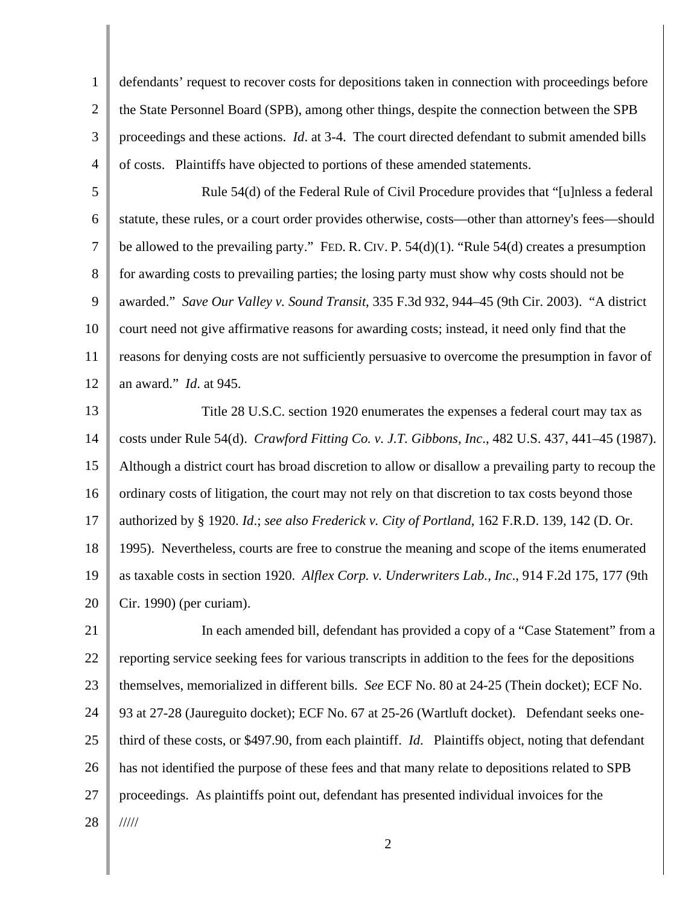1 2 3 4 defendants' request to recover costs for depositions taken in connection with proceedings before the State Personnel Board (SPB), among other things, despite the connection between the SPB proceedings and these actions. *Id*. at 3-4. The court directed defendant to submit amended bills of costs. Plaintiffs have objected to portions of these amended statements.

5 6 7 8 9 10 11 12 Rule 54(d) of the Federal Rule of Civil Procedure provides that "[u]nless a federal statute, these rules, or a court order provides otherwise, costs—other than attorney's fees—should be allowed to the prevailing party." FED. R. CIV. P.  $54(d)(1)$ . "Rule  $54(d)$  creates a presumption for awarding costs to prevailing parties; the losing party must show why costs should not be awarded." *Save Our Valley v. Sound Transit*, 335 F.3d 932, 944–45 (9th Cir. 2003). "A district court need not give affirmative reasons for awarding costs; instead, it need only find that the reasons for denying costs are not sufficiently persuasive to overcome the presumption in favor of an award." *Id*. at 945.

13 14 15 16 17 18 19 20 Title 28 U.S.C. section 1920 enumerates the expenses a federal court may tax as costs under Rule 54(d). *Crawford Fitting Co. v. J.T. Gibbons, Inc*., 482 U.S. 437, 441–45 (1987). Although a district court has broad discretion to allow or disallow a prevailing party to recoup the ordinary costs of litigation, the court may not rely on that discretion to tax costs beyond those authorized by § 1920. *Id*.; *see also Frederick v. City of Portland*, 162 F.R.D. 139, 142 (D. Or. 1995). Nevertheless, courts are free to construe the meaning and scope of the items enumerated as taxable costs in section 1920. *Alflex Corp. v. Underwriters Lab., Inc*., 914 F.2d 175, 177 (9th Cir. 1990) (per curiam).

21 22 23 24 25 26 27 28 In each amended bill, defendant has provided a copy of a "Case Statement" from a reporting service seeking fees for various transcripts in addition to the fees for the depositions themselves, memorialized in different bills. *See* ECF No. 80 at 24-25 (Thein docket); ECF No. 93 at 27-28 (Jaureguito docket); ECF No. 67 at 25-26 (Wartluft docket). Defendant seeks onethird of these costs, or \$497.90, from each plaintiff. *Id*. Plaintiffs object, noting that defendant has not identified the purpose of these fees and that many relate to depositions related to SPB proceedings. As plaintiffs point out, defendant has presented individual invoices for the /////